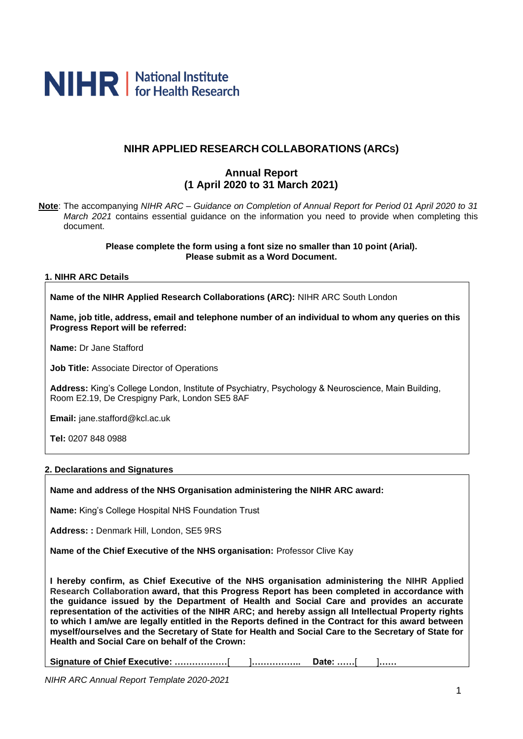

# **NIHR APPLIED RESEARCH COLLABORATIONS (ARCS)**

# **Annual Report (1 April 2020 to 31 March 2021)**

**Note**: The accompanying *NIHR ARC – Guidance on Completion of Annual Report for Period 01 April 2020 to 31 March 2021* contains essential guidance on the information you need to provide when completing this document.

> **Please complete the form using a font size no smaller than 10 point (Arial). Please submit as a Word Document.**

#### **1. NIHR ARC Details**

**Name of the NIHR Applied Research Collaborations (ARC):** NIHR ARC South London

**Name, job title, address, email and telephone number of an individual to whom any queries on this Progress Report will be referred:**

**Name:** Dr Jane Stafford

**Job Title:** Associate Director of Operations

**Address:** King's College London, Institute of Psychiatry, Psychology & Neuroscience, Main Building, Room E2.19, De Crespigny Park, London SE5 8AF

**Email:** jane.stafford@kcl.ac.uk

**Tel:** 0207 848 0988

#### **2. Declarations and Signatures**

**Name and address of the NHS Organisation administering the NIHR ARC award:**

**Name:** King's College Hospital NHS Foundation Trust

**Address: :** Denmark Hill, London, SE5 9RS

**Name of the Chief Executive of the NHS organisation:** Professor Clive Kay

**I hereby confirm, as Chief Executive of the NHS organisation administering the NIHR Applied Research Collaboration award, that this Progress Report has been completed in accordance with the guidance issued by the Department of Health and Social Care and provides an accurate representation of the activities of the NIHR ARC; and hereby assign all Intellectual Property rights to which I am/we are legally entitled in the Reports defined in the Contract for this award between myself/ourselves and the Secretary of State for Health and Social Care to the Secretary of State for Health and Social Care on behalf of the Crown:**

**Signature of Chief Executive: ………………**[ ]**…………….. Date: ……**[ ]**……**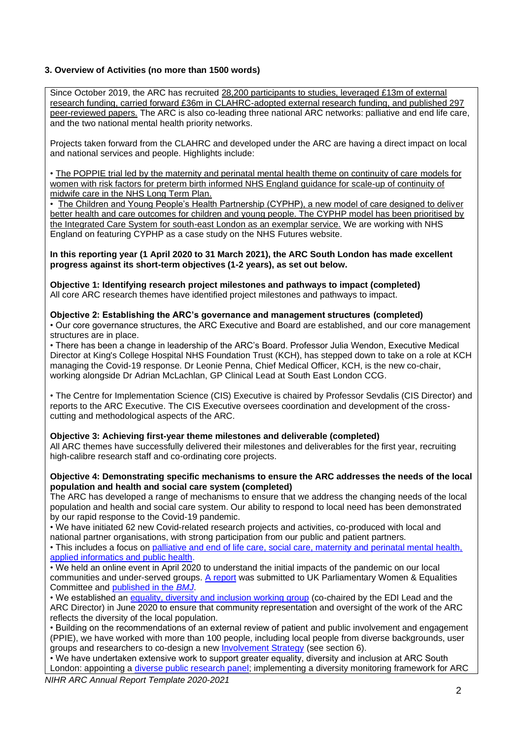## **3. Overview of Activities (no more than 1500 words)**

Since October 2019, the ARC has recruited 28,200 participants to studies, leveraged £13m of external research funding, carried forward £36m in CLAHRC-adopted external research funding, and published 297 peer-reviewed papers. The ARC is also co-leading three national ARC networks: palliative and end life care, and the two national mental health priority networks.

Projects taken forward from the CLAHRC and developed under the ARC are having a direct impact on local and national services and people. Highlights include:

• The POPPIE trial led by the maternity and perinatal mental health theme on continuity of care models for women with risk factors for preterm birth informed NHS England guidance for scale-up of continuity of midwife care in the NHS Long Term Plan.

• The Children and Young People's Health Partnership (CYPHP), a new model of care designed to deliver better health and care outcomes for children and young people. The CYPHP model has been prioritised by the Integrated Care System for south-east London as an exemplar service. We are working with NHS England on featuring CYPHP as a case study on the NHS Futures website.

**In this reporting year (1 April 2020 to 31 March 2021), the ARC South London has made excellent progress against its short-term objectives (1-2 years), as set out below.** 

**Objective 1: Identifying research project milestones and pathways to impact (completed)** All core ARC research themes have identified project milestones and pathways to impact.

**Objective 2: Establishing the ARC's governance and management structures (completed)** • Our core governance structures, the ARC Executive and Board are established, and our core management structures are in place.

• There has been a change in leadership of the ARC's Board. Professor Julia Wendon, Executive Medical Director at King's College Hospital NHS Foundation Trust (KCH), has stepped down to take on a role at KCH managing the Covid-19 response. Dr Leonie Penna, Chief Medical Officer, KCH, is the new co-chair, working alongside Dr Adrian McLachlan, GP Clinical Lead at South East London CCG.

• The Centre for Implementation Science (CIS) Executive is chaired by Professor Sevdalis (CIS Director) and reports to the ARC Executive. The CIS Executive oversees coordination and development of the crosscutting and methodological aspects of the ARC.

### **Objective 3: Achieving first-year theme milestones and deliverable (completed)**

All ARC themes have successfully delivered their milestones and deliverables for the first year, recruiting high-calibre research staff and co-ordinating core projects.

#### **Objective 4: Demonstrating specific mechanisms to ensure the ARC addresses the needs of the local population and health and social care system (completed)**

The ARC has developed a range of mechanisms to ensure that we address the changing needs of the local population and health and social care system. Our ability to respond to local need has been demonstrated by our rapid response to the Covid-19 pandemic.

• We have initiated 62 new Covid-related research projects and activities, co-produced with local and national partner organisations, with strong participation from our public and patient partners.

• This includes a focus on [palliative and end of life care, social care, maternity and perinatal mental health,](https://arc-sl.nihr.ac.uk/research-and-implementation/our-research-areas/covid-19)  [applied informatics and public health.](https://arc-sl.nihr.ac.uk/research-and-implementation/our-research-areas/covid-19)

• We held an online event in April 2020 to understand the initial impacts of the pandemic on our local communities and under-served groups. [A report](https://blogs.kcl.ac.uk/clahrc-south-london/files/2020/05/Community-Zoom-event-final-submission-01_0520.docx_-1.pdf) was submitted to UK Parliamentary Women & Equalities Committee and [published in the](https://blogs.bmj.com/bmj/2020/06/02/being-heard-not-seldom-heard-democratising-research-with-diverse-communities-during-the-covid-19-pandemic/) *BMJ*.

• We established an [equality, diversity and inclusion working group](https://www.arc-sl.nihr.ac.uk/about-us/diversity-and-inclusion-nihr-arc-south-london) (co-chaired by the EDI Lead and the ARC Director) in June 2020 to ensure that community representation and oversight of the work of the ARC reflects the diversity of the local population*.*

• Building on the recommendations of an external review of patient and public involvement and engagement (PPIE), we have worked with more than 100 people, including local people from diverse backgrounds, user groups and researchers to co-design a new **Involvement Strategy** (see section 6).

*NIHR ARC Annual Report Template 2020-2021*  • We have undertaken extensive work to support greater equality, diversity and inclusion at ARC South London: appointing a [diverse public research panel;](https://www.arc-sl.nihr.ac.uk/news-insights/latest-news/introducing-covid-19-public-research-panel) implementing a diversity monitoring framework for ARC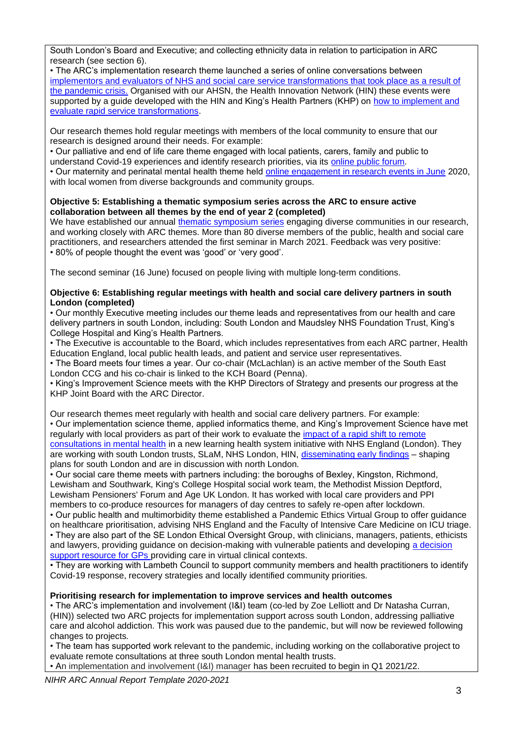South London's Board and Executive; and collecting ethnicity data in relation to participation in ARC research (see section 6).

• The ARC's implementation research theme launched a series of online conversations between implementors and evaluators of NHS and social care service transformations that took place as a result of [the pandemic crisis.](https://www.arc-sl.nihr.ac.uk/events-training/forthcoming-events-training/transforming-services-during-covid-19-and-beyond) Organised with our AHSN, the Health Innovation Network (HIN) these events were supported by a quide developed with the HIN and King's Health Partners (KHP) on how to implement and [evaluate rapid service transformations.](https://www.arc-sl.nihr.ac.uk/news-insights/latest-news/supporting-implementation-and-improving-evaluation-health-and-social-care)

Our research themes hold regular meetings with members of the local community to ensure that our research is designed around their needs. For example:

• Our palliative and end of life care theme engaged with local patients, carers, family and public to understand Covid-19 experiences and identify research priorities, via its [online public forum](https://www.csipublicinvolvement.co.uk/)*.* 

• Our maternity and perinatal mental health theme held [online engagement in research events in June](https://arc-sl.nihr.ac.uk/news-insights/engaging-local-women-maternity-research-during-covid-19-pandemic) 2020, with local women from diverse backgrounds and community groups.

### **Objective 5: Establishing a thematic symposium series across the ARC to ensure active collaboration between all themes by the end of year 2 (completed)**

We have established our annual *thematic symposium series* engaging diverse communities in our research, and working closely with ARC themes. More than 80 diverse members of the public, health and social care practitioners, and researchers attended the first seminar in March 2021. Feedback was very positive: • 80% of people thought the event was 'good' or 'very good'.

The second seminar (16 June) focused on people living with multiple long-term conditions.

#### **Objective 6: Establishing regular meetings with health and social care delivery partners in south London (completed)**

• Our monthly Executive meeting includes our theme leads and representatives from our health and care delivery partners in south London, including: South London and Maudsley NHS Foundation Trust, King's College Hospital and King's Health Partners.

• The Executive is accountable to the Board, which includes representatives from each ARC partner, Health Education England, local public health leads, and patient and service user representatives.

• The Board meets four times a year. Our co-chair (McLachlan) is an active member of the South East London CCG and his co-chair is linked to the KCH Board (Penna).

• King's Improvement Science meets with the KHP Directors of Strategy and presents our progress at the KHP Joint Board with the ARC Director.

Our research themes meet regularly with health and social care delivery partners. For example: • Our implementation science theme, applied informatics theme, and King's Improvement Science have met regularly with local providers as part of their work to evaluate the [impact of a rapid shift to remote](https://www.arc-sl.nihr.ac.uk/research-and-implementation/our-research-areas/implementation-science-research/remote-consultations)  [consultations in mental health](https://www.arc-sl.nihr.ac.uk/research-and-implementation/our-research-areas/implementation-science-research/remote-consultations) in a new learning health system initiative with NHS England (London). They are working with south London trusts, SLaM, NHS London, HIN, [disseminating early findings](https://www.arc-sl.nihr.ac.uk/research-and-implementation/our-research-areas/implementation-science-research/remote-consultations) – shaping plans for south London and are in discussion with north London.

• Our social care theme meets with partners including: the boroughs of Bexley, Kingston, Richmond, Lewisham and Southwark, King's College Hospital social work team, the Methodist Mission Deptford, Lewisham Pensioners' Forum and Age UK London. It has worked with local care providers and PPI members to co-produce resources for managers of day centres to safely re-open after lockdown.

• Our public health and multimorbidity theme established a Pandemic Ethics Virtual Group to offer guidance on healthcare prioritisation, advising NHS England and the Faculty of Intensive Care Medicine on ICU triage. • They are also part of the SE London Ethical Oversight Group, with clinicians, managers, patients, ethicists and lawyers, providing guidance on decision-making with vulnerable patients and developing [a decision](https://arc-sl.nihr.ac.uk/news-insights/blog-and-commentary/covid-19-reality-opportunity-costs-will-need-be-debated-openly)  [support resource for GPs p](https://arc-sl.nihr.ac.uk/news-insights/blog-and-commentary/covid-19-reality-opportunity-costs-will-need-be-debated-openly)roviding care in virtual clinical contexts.

• They are working with Lambeth Council to support community members and health practitioners to identify Covid-19 response, recovery strategies and locally identified community priorities.

### **Prioritising research for implementation to improve services and health outcomes**

• The ARC's implementation and involvement (I&I) team (co-led by Zoe Lelliott and Dr Natasha Curran, (HIN)) selected two ARC projects for implementation support across south London, addressing palliative care and alcohol addiction. This work was paused due to the pandemic, but will now be reviewed following changes to projects.

• The team has supported work relevant to the pandemic, including working on the collaborative project to evaluate remote consultations at three south London mental health trusts.

• An implementation and involvement (I&I) manager has been recruited to begin in Q1 2021/22.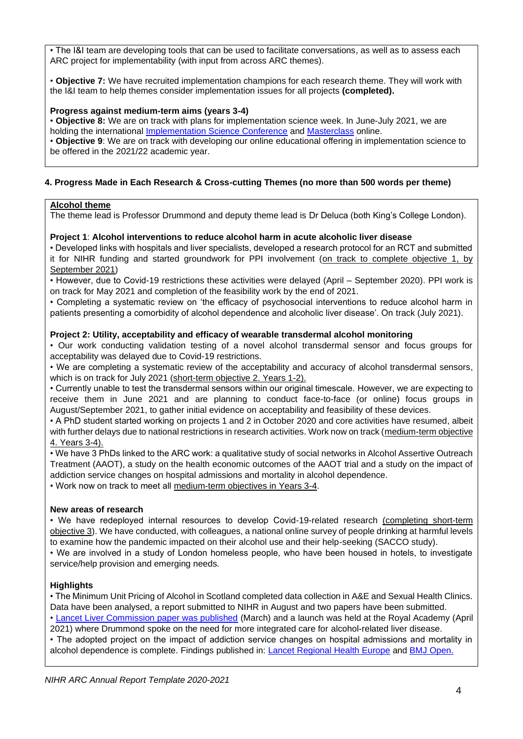• The I&I team are developing tools that can be used to facilitate conversations, as well as to assess each ARC project for implementability (with input from across ARC themes).

• **Objective 7:** We have recruited implementation champions for each research theme. They will work with the I&I team to help themes consider implementation issues for all projects **(completed).**

### **Progress against medium-term aims (years 3-4)**

• **Objective 8:** We are on track with plans for implementation science week. In June-July 2021, we are holding the international [Implementation Science Conference](https://arc-sl.nihr.ac.uk/events-training/forthcoming-events-training/4th-uk-implementation-science-research-conference) and [Masterclass](https://arc-sl.nihr.ac.uk/events-training/forthcoming-events-training/implementation-science-masterclass-2021) online.

• **Objective 9**: We are on track with developing our online educational offering in implementation science to be offered in the 2021/22 academic year.

## **4. Progress Made in Each Research & Cross-cutting Themes (no more than 500 words per theme)**

### **Alcohol theme**

The theme lead is Professor Drummond and deputy theme lead is Dr Deluca (both King's College London).

#### **Project 1**: **Alcohol interventions to reduce alcohol harm in acute alcoholic liver disease**

• Developed links with hospitals and liver specialists, developed a research protocol for an RCT and submitted it for NIHR funding and started groundwork for PPI involvement (on track to complete objective 1, by September 2021)

• However, due to Covid-19 restrictions these activities were delayed (April – September 2020). PPI work is on track for May 2021 and completion of the feasibility work by the end of 2021.

• Completing a systematic review on 'the efficacy of psychosocial interventions to reduce alcohol harm in patients presenting a comorbidity of alcohol dependence and alcoholic liver disease'. On track (July 2021).

#### **Project 2: Utility, acceptability and efficacy of wearable transdermal alcohol monitoring**

• Our work conducting validation testing of a novel alcohol transdermal sensor and focus groups for acceptability was delayed due to Covid-19 restrictions.

• We are completing a systematic review of the acceptability and accuracy of alcohol transdermal sensors, which is on track for July 2021 (short-term objective 2. Years 1-2).

• Currently unable to test the transdermal sensors within our original timescale. However, we are expecting to receive them in June 2021 and are planning to conduct face-to-face (or online) focus groups in August/September 2021, to gather initial evidence on acceptability and feasibility of these devices.

• A PhD student started working on projects 1 and 2 in October 2020 and core activities have resumed, albeit with further delays due to national restrictions in research activities. Work now on track (medium-term objective 4. Years 3-4).

• We have 3 PhDs linked to the ARC work: a qualitative study of social networks in Alcohol Assertive Outreach Treatment (AAOT), a study on the health economic outcomes of the AAOT trial and a study on the impact of addiction service changes on hospital admissions and mortality in alcohol dependence.

• Work now on track to meet all medium-term objectives in Years 3-4.

### **New areas of research**

• We have redeployed internal resources to develop Covid-19-related research (completing short-term objective 3). We have conducted, with colleagues, a national online survey of people drinking at harmful levels to examine how the pandemic impacted on their alcohol use and their help-seeking (SACCO study).

• We are involved in a study of London homeless people, who have been housed in hotels, to investigate service/help provision and emerging needs.

### **Highlights**

• The Minimum Unit Pricing of Alcohol in Scotland completed data collection in A&E and Sexual Health Clinics. Data have been analysed, a report submitted to NIHR in August and two papers have been submitted.

• [Lancet Liver Commission paper was published](https://www.thelancet.com/journals/lancet/article/PIIS0140-6736(20)32396-5/fulltext) (March) and a launch was held at the Royal Academy (April 2021) where Drummond spoke on the need for more integrated care for alcohol-related liver disease.

• The adopted project on the impact of addiction service changes on hospital admissions and mortality in alcohol dependence is complete. Findings published in: [Lancet Regional Health Europe](https://www.thelancet.com/journals/lanepe/article/PIIS2666-7762(21)00013-2/fulltext) and [BMJ Open.](https://bmjopen.bmj.com/content/10/11/e043540)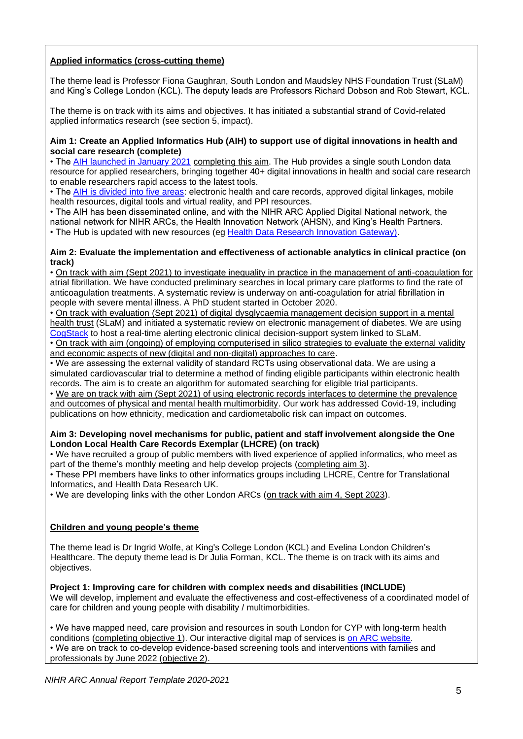## **Applied informatics (cross-cutting theme)**

The theme lead is Professor Fiona Gaughran, South London and Maudsley NHS Foundation Trust (SLaM) and King's College London (KCL). The deputy leads are Professors Richard Dobson and Rob Stewart, KCL.

The theme is on track with its aims and objectives. It has initiated a substantial strand of Covid-related applied informatics research (see section 5, impact).

### **Aim 1: Create an Applied Informatics Hub (AIH) to support use of digital innovations in health and social care research (complete)**

• The [AIH launched in January 2021](https://arc-sl.nihr.ac.uk/news-insights/latest-news/new-hub-applied-informatics-resources-south-london) completing this aim. The Hub provides a single south London data resource for applied researchers, bringing together 40+ digital innovations in health and social care research to enable researchers rapid access to the latest tools.

• The [AIH is divided into five areas:](https://arc-sl.nihr.ac.uk/research-and-implementation/our-research-methods/applied-informatics/applied-informatics-hub) electronic health and care records, approved digital linkages, mobile health resources, digital tools and virtual reality, and PPI resources.

• The AIH has been disseminated online, and with the NIHR ARC Applied Digital National network, the national network for NIHR ARCs, the Health Innovation Network (AHSN), and King's Health Partners. • The Hub is updated with new resources (eg [Health Data Research Innovation Gateway\)](https://www.healthdatagateway.org/).

#### **Aim 2: Evaluate the implementation and effectiveness of actionable analytics in clinical practice (on track)**

• On track with aim (Sept 2021) to investigate inequality in practice in the management of anti-coagulation for atrial fibrillation. We have conducted preliminary searches in local primary care platforms to find the rate of anticoagulation treatments. A systematic review is underway on anti-coagulation for atrial fibrillation in people with severe mental illness. A PhD student started in October 2020.

• On track with evaluation (Sept 2021) of digital dysglycaemia management decision support in a mental health trust (SLaM) and initiated a systematic review on electronic management of diabetes. We are using [CogStack](https://ctiuk.org/products/cogstack/) to host a real-time alerting electronic clinical decision-support system linked to SLaM.

• On track with aim (ongoing) of employing computerised in silico strategies to evaluate the external validity and economic aspects of new (digital and non-digital) approaches to care.

• We are assessing the external validity of standard RCTs using observational data. We are using a simulated cardiovascular trial to determine a method of finding eligible participants within electronic health records. The aim is to create an algorithm for automated searching for eligible trial participants.

• We are on track with aim (Sept 2021) of using electronic records interfaces to determine the prevalence and outcomes of physical and mental health multimorbidity. Our work has addressed Covid-19, including publications on how ethnicity, medication and cardiometabolic risk can impact on outcomes.

#### **Aim 3: Developing novel mechanisms for public, patient and staff involvement alongside the One London Local Health Care Records Exemplar (LHCRE) (on track)**

• We have recruited a group of public members with lived experience of applied informatics, who meet as part of the theme's monthly meeting and help develop projects (completing aim 3).

• These PPI members have links to other informatics groups including LHCRE, Centre for Translational Informatics, and Health Data Research UK.

• We are developing links with the other London ARCs (on track with aim 4, Sept 2023).

## **Children and young people's theme**

The theme lead is Dr Ingrid Wolfe, at King's College London (KCL) and Evelina London Children's Healthcare. The deputy theme lead is Dr Julia Forman, KCL. The theme is on track with its aims and objectives.

### **Project 1: Improving care for children with complex needs and disabilities (INCLUDE)**

We will develop, implement and evaluate the effectiveness and cost-effectiveness of a coordinated model of care for children and young people with disability / multimorbidities.

• We have mapped need, care provision and resources in south London for CYP with long-term health conditions (completing objective 1). Our interactive digital map of services is [on ARC website.](https://embed.kumu.io/a8a8529ce7f7a81d7bc0f6dc5c5081a4#bexley-stakeholder-map) • We are on track to co-develop evidence-based screening tools and interventions with families and professionals by June 2022 (objective 2).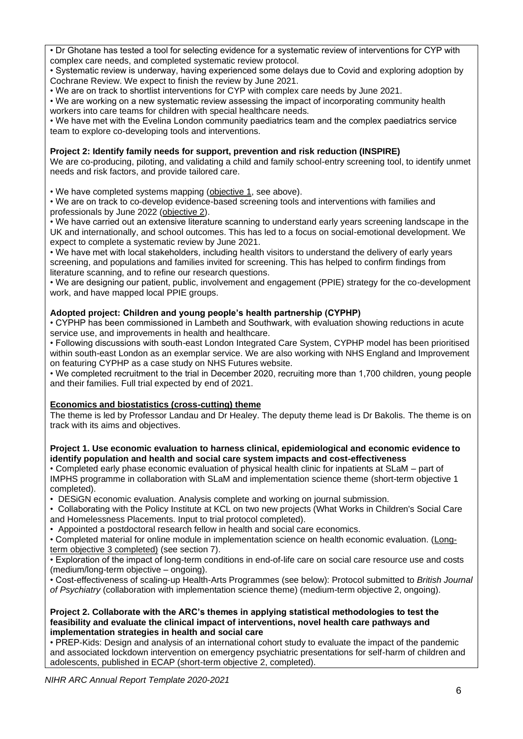• Dr Ghotane has tested a tool for selecting evidence for a systematic review of interventions for CYP with complex care needs, and completed systematic review protocol.

• Systematic review is underway, having experienced some delays due to Covid and exploring adoption by Cochrane Review. We expect to finish the review by June 2021.

• We are on track to shortlist interventions for CYP with complex care needs by June 2021.

• We are working on a new systematic review assessing the impact of incorporating community health workers into care teams for children with special healthcare needs.

• We have met with the Evelina London community paediatrics team and the complex paediatrics service team to explore co-developing tools and interventions.

## **Project 2: Identify family needs for support, prevention and risk reduction (INSPIRE)**

We are co-producing, piloting, and validating a child and family school-entry screening tool, to identify unmet needs and risk factors, and provide tailored care.

• We have completed systems mapping (objective 1, see above).

• We are on track to co-develop evidence-based screening tools and interventions with families and professionals by June 2022 (objective 2).

• We have carried out an extensive literature scanning to understand early years screening landscape in the UK and internationally, and school outcomes. This has led to a focus on social-emotional development. We expect to complete a systematic review by June 2021.

• We have met with local stakeholders, including health visitors to understand the delivery of early years screening, and populations and families invited for screening. This has helped to confirm findings from literature scanning, and to refine our research questions.

• We are designing our patient, public, involvement and engagement (PPIE) strategy for the co-development work, and have mapped local PPIE groups.

### **Adopted project: Children and young people's health partnership (CYPHP)**

• CYPHP has been commissioned in Lambeth and Southwark, with evaluation showing reductions in acute service use, and improvements in health and healthcare.

• Following discussions with south-east London Integrated Care System, CYPHP model has been prioritised within south-east London as an exemplar service. We are also working with NHS England and Improvement on featuring CYPHP as a case study on NHS Futures website.

• We completed recruitment to the trial in December 2020, recruiting more than 1,700 children, young people and their families. Full trial expected by end of 2021.

### **Economics and biostatistics (cross-cutting) theme**

The theme is led by Professor Landau and Dr Healey. The deputy theme lead is Dr Bakolis. The theme is on track with its aims and objectives.

### **Project 1. Use economic evaluation to harness clinical, epidemiological and economic evidence to identify population and health and social care system impacts and cost-effectiveness**

• Completed early phase economic evaluation of physical health clinic for inpatients at SLaM – part of IMPHS programme in collaboration with SLaM and implementation science theme (short-term objective 1 completed).

• DESiGN economic evaluation. Analysis complete and working on journal submission.

• Collaborating with the Policy Institute at KCL on two new projects (What Works in Children's Social Care and Homelessness Placements. Input to trial protocol completed).

• Appointed a postdoctoral research fellow in health and social care economics.

• Completed material for online module in implementation science on health economic evaluation. (Longterm objective 3 completed) (see section 7).

• Exploration of the impact of long-term conditions in end-of-life care on social care resource use and costs (medium/long-term objective – ongoing).

• Cost-effectiveness of scaling-up Health-Arts Programmes (see below): Protocol submitted to *British Journal of Psychiatry* (collaboration with implementation science theme) (medium-term objective 2, ongoing).

#### **Project 2. Collaborate with the ARC's themes in applying statistical methodologies to test the feasibility and evaluate the clinical impact of interventions, novel health care pathways and implementation strategies in health and social care**

• PREP-Kids: Design and analysis of an international cohort study to evaluate the impact of the pandemic and associated lockdown intervention on emergency psychiatric presentations for self-harm of children and adolescents, published in ECAP (short-term objective 2, completed).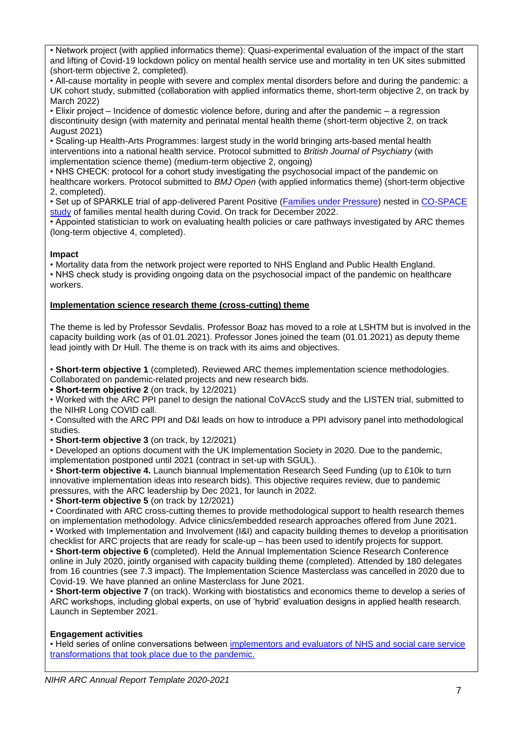• Network project (with applied informatics theme): Quasi-experimental evaluation of the impact of the start and lifting of Covid-19 lockdown policy on mental health service use and mortality in ten UK sites submitted (short-term objective 2, completed).

• All-cause mortality in people with severe and complex mental disorders before and during the pandemic: a UK cohort study, submitted (collaboration with applied informatics theme, short-term objective 2, on track by March 2022)

• Elixir project – Incidence of domestic violence before, during and after the pandemic – a regression discontinuity design (with maternity and perinatal mental health theme (short-term objective 2, on track August 2021)

• Scaling-up Health-Arts Programmes: largest study in the world bringing arts-based mental health interventions into a national health service. Protocol submitted to *British Journal of Psychiatry* (with implementation science theme) (medium-term objective 2, ongoing)

• NHS CHECK: protocol for a cohort study investigating the psychosocial impact of the pandemic on healthcare workers. Protocol submitted to *BMJ Open* (with applied informatics theme) (short-term objective 2, completed).

• Set up of SPARKLE trial of app-delivered Parent Positive [\(Families under Pressure\)](https://maudsleycharity.org/familiesunderpressure/) nested in [CO-SPACE](http://cospaceoxford.org/)  [study](http://cospaceoxford.org/) of families mental health during Covid. On track for December 2022.

• Appointed statistician to work on evaluating health policies or care pathways investigated by ARC themes (long-term objective 4, completed).

## **Impact**

• Mortality data from the network project were reported to NHS England and Public Health England. • NHS check study is providing ongoing data on the psychosocial impact of the pandemic on healthcare workers.

## **Implementation science research theme (cross-cutting) theme**

The theme is led by Professor Sevdalis. Professor Boaz has moved to a role at LSHTM but is involved in the capacity building work (as of 01.01.2021). Professor Jones joined the team (01.01.2021) as deputy theme lead jointly with Dr Hull. The theme is on track with its aims and objectives.

• **Short-term objective 1** (completed). Reviewed ARC themes implementation science methodologies. Collaborated on pandemic-related projects and new research bids.

**• Short-term objective 2** (on track, by 12/2021)

• Worked with the ARC PPI panel to design the national CoVAccS study and the LISTEN trial, submitted to the NIHR Long COVID call.

• Consulted with the ARC PPI and D&I leads on how to introduce a PPI advisory panel into methodological studies.

• **Short-term objective 3** (on track, by 12/2021)

• Developed an options document with the UK Implementation Society in 2020. Due to the pandemic, implementation postponed until 2021 (contract in set-up with SGUL).

• **Short-term objective 4.** Launch biannual Implementation Research Seed Funding (up to £10k to turn innovative implementation ideas into research bids). This objective requires review, due to pandemic pressures, with the ARC leadership by Dec 2021, for launch in 2022.

• **Short-term objective 5** (on track by 12/2021)

• Coordinated with ARC cross-cutting themes to provide methodological support to health research themes on implementation methodology. Advice clinics/embedded research approaches offered from June 2021. • Worked with Implementation and Involvement (I&I) and capacity building themes to develop a prioritisation

checklist for ARC projects that are ready for scale-up – has been used to identify projects for support. • **Short-term objective 6** (completed). Held the Annual Implementation Science Research Conference online in July 2020, jointly organised with capacity building theme (completed). Attended by 180 delegates from 16 countries (see 7.3 impact). The Implementation Science Masterclass was cancelled in 2020 due to Covid-19. We have planned an online Masterclass for June 2021.

• **Short-term objective 7** (on track). Working with biostatistics and economics theme to develop a series of ARC workshops, including global experts, on use of 'hybrid' evaluation designs in applied health research. Launch in September 2021.

## **Engagement activities**

• Held series of online conversations between [implementors and evaluators of NHS and social care service](https://www.arc-sl.nihr.ac.uk/events-training/forthcoming-events-training/transforming-services-during-covid-19-and-beyond)  [transformations that took place due to the pandemic.](https://www.arc-sl.nihr.ac.uk/events-training/forthcoming-events-training/transforming-services-during-covid-19-and-beyond)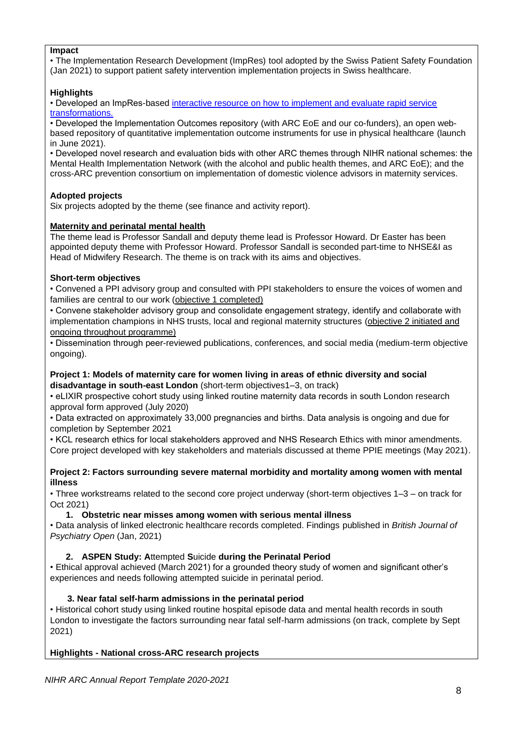## **Impact**

• The Implementation Research Development (ImpRes) tool adopted by the Swiss Patient Safety Foundation (Jan 2021) to support patient safety intervention implementation projects in Swiss healthcare.

## **Highlights**

• Developed an ImpRes-based [interactive resource on how to implement and evaluate rapid service](https://arc-sl.nihr.ac.uk/news-insights/latest-news/supporting-implementation-and-improving-evaluation-health-and-social-care)  [transformations.](https://arc-sl.nihr.ac.uk/news-insights/latest-news/supporting-implementation-and-improving-evaluation-health-and-social-care)

• Developed the Implementation Outcomes repository (with ARC EoE and our co-funders), an open webbased repository of quantitative implementation outcome instruments for use in physical healthcare (launch in June 2021).

• Developed novel research and evaluation bids with other ARC themes through NIHR national schemes: the Mental Health Implementation Network (with the alcohol and public health themes, and ARC EoE); and the cross-ARC prevention consortium on implementation of domestic violence advisors in maternity services.

# **Adopted projects**

Six projects adopted by the theme (see finance and activity report).

# **Maternity and perinatal mental health**

The theme lead is Professor Sandall and deputy theme lead is Professor Howard. Dr Easter has been appointed deputy theme with Professor Howard. Professor Sandall is seconded part-time to NHSE&I as Head of Midwifery Research. The theme is on track with its aims and objectives.

## **Short-term objectives**

• Convened a PPI advisory group and consulted with PPI stakeholders to ensure the voices of women and families are central to our work (objective 1 completed)

• Convene stakeholder advisory group and consolidate engagement strategy, identify and collaborate with implementation champions in NHS trusts, local and regional maternity structures (objective 2 initiated and ongoing throughout programme)

• Dissemination through peer-reviewed publications, conferences, and social media (medium-term objective ongoing).

## **Project 1: Models of maternity care for women living in areas of ethnic diversity and social disadvantage in south-east London** (short-term objectives1–3, on track)

• eLIXIR prospective cohort study using linked routine maternity data records in south London research approval form approved (July 2020)

• Data extracted on approximately 33,000 pregnancies and births. Data analysis is ongoing and due for completion by September 2021

• KCL research ethics for local stakeholders approved and NHS Research Ethics with minor amendments.

Core project developed with key stakeholders and materials discussed at theme PPIE meetings (May 2021).

## **Project 2: Factors surrounding severe maternal morbidity and mortality among women with mental illness**

• Three workstreams related to the second core project underway (short-term objectives 1–3 – on track for Oct 2021)

**1. Obstetric near misses among women with serious mental illness** 

• Data analysis of linked electronic healthcare records completed. Findings published in *British Journal of Psychiatry Open* (Jan, 2021)

# **2. ASPEN Study: A**ttempted **S**uicide **during the Perinatal Period**

• Ethical approval achieved (March 2021) for a grounded theory study of women and significant other's experiences and needs following attempted suicide in perinatal period.

# **3. Near fatal self-harm admissions in the perinatal period**

• Historical cohort study using linked routine hospital episode data and mental health records in south London to investigate the factors surrounding near fatal self-harm admissions (on track, complete by Sept 2021)

# **Highlights - National cross-ARC research projects**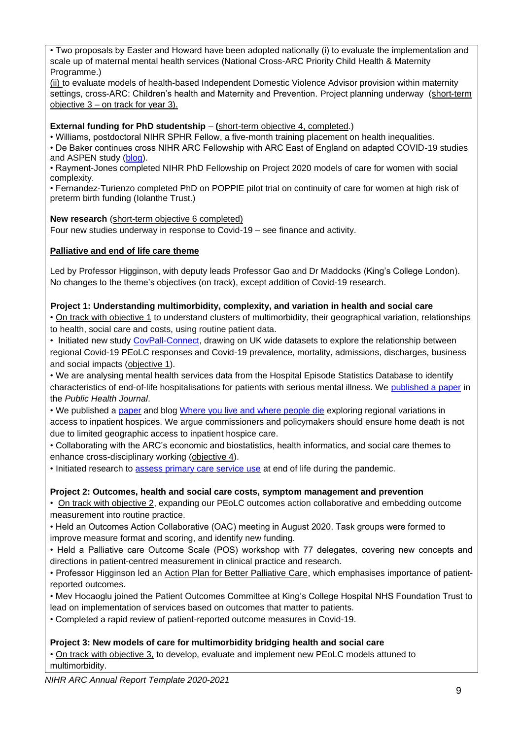• Two proposals by Easter and Howard have been adopted nationally (i) to evaluate the implementation and scale up of maternal mental health services (National Cross-ARC Priority Child Health & Maternity Programme.)

(ii) to evaluate models of health-based Independent Domestic Violence Advisor provision within maternity settings, cross-ARC: Children's health and Maternity and Prevention. Project planning underway (short-term objective 3 – on track for year 3).

## **External funding for PhD studentship** – (short-term objective 4, completed.)

• Williams, postdoctoral NIHR SPHR Fellow, a five-month training placement on health inequalities.

• De Baker continues cross NIHR ARC Fellowship with ARC East of England on adapted COVID-19 studies and ASPEN study [\(blog\)](https://www.arc-sl.nihr.ac.uk/news-insights/blog-and-commentary/my-research-journey-nihr-arcs-during-covid-19-pandemic).

• Rayment-Jones completed NIHR PhD Fellowship on Project 2020 models of care for women with social complexity.

• Fernandez-Turienzo completed PhD on POPPIE pilot trial on continuity of care for women at high risk of preterm birth funding (Iolanthe Trust.)

**New research** (short-term objective 6 completed)

Four new studies underway in response to Covid-19 – see finance and activity.

# **Palliative and end of life care theme**

Led by Professor Higginson, with deputy leads Professor Gao and Dr Maddocks (King's College London). No changes to the theme's objectives (on track), except addition of Covid-19 research.

# **Project 1: Understanding multimorbidity, complexity, and variation in health and social care**

• On track with objective 1 to understand clusters of multimorbidity, their geographical variation, relationships to health, social care and costs, using routine patient data.

• Initiated new study [CovPall-Connect,](https://arc-sl.nihr.ac.uk/research-and-implementation/our-research-areas/palliative-and-end-life-care/rapid-evaluation-covid) drawing on UK wide datasets to explore the relationship between regional Covid-19 PEoLC responses and Covid-19 prevalence, mortality, admissions, discharges, business and social impacts (objective 1).

• We are analysing mental health services data from the Hospital Episode Statistics Database to identify characteristics of end-of-life hospitalisations for patients with serious mental illness. We [published a paper](https://pubmed.ncbi.nlm.nih.gov/33866148/) in the *Public Health Journal*.

• We published a [paper](https://journals.plos.org/plosone/article?id=10.1371/journal.pone.0231666) and blog [Where you live and where people die](https://eapcnet.wordpress.com/2020/08/05/where-you-live-and-where-people-die/) exploring regional variations in access to inpatient hospices. We argue commissioners and policymakers should ensure home death is not due to limited geographic access to inpatient hospice care.

• Collaborating with the ARC's economic and biostatistics, health informatics, and social care themes to enhance cross-disciplinary working (objective 4).

• Initiated research to [assess primary care service use](https://cprd.com/protocol/primary-care-service-use-towards-end-life-among-patients-who-died-and-during-covid-19) at end of life during the pandemic.

# **Project 2: Outcomes, health and social care costs, symptom management and prevention**

• On track with objective 2, expanding our PEoLC outcomes action collaborative and embedding outcome measurement into routine practice.

• Held an Outcomes Action Collaborative (OAC) meeting in August 2020. Task groups were formed to improve measure format and scoring, and identify new funding.

• Held a Palliative care Outcome Scale (POS) workshop with 77 delegates, covering new concepts and directions in patient-centred measurement in clinical practice and research.

• Professor Higginson led an [Action Plan for Better Palliative Care,](https://csiweb.pos-pal.co.uk/csi-content/uploads/2021/01/Cicely-Saunders-Manifesto-A4-multipage_Jan2021-2.pdf) which emphasises importance of patientreported outcomes.

• Mev Hocaoglu joined the Patient Outcomes Committee at King's College Hospital NHS Foundation Trust to lead on implementation of services based on outcomes that matter to patients.

• Completed a rapid review of patient-reported outcome measures in Covid-19.

## **Project 3: New models of care for multimorbidity bridging health and social care**

• On track with objective 3, to develop, evaluate and implement new PEoLC models attuned to multimorbidity.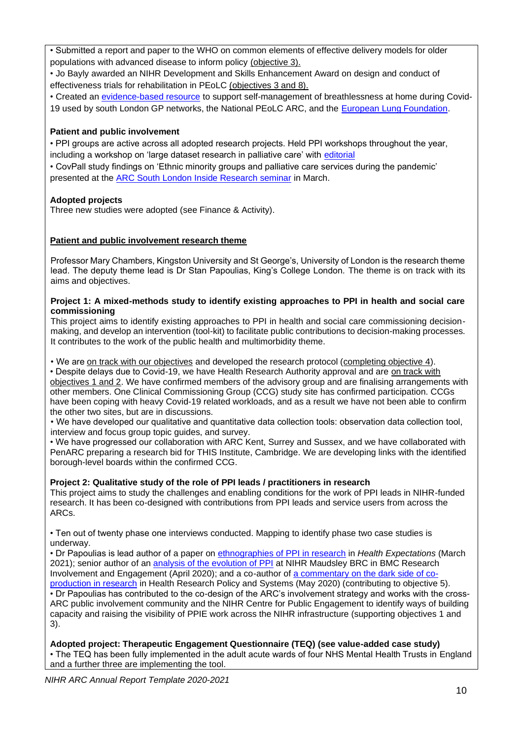• Submitted a report and paper to the WHO on common elements of effective delivery models for older populations with advanced disease to inform policy (objective 3).

• Jo Bayly awarded an NIHR Development and Skills Enhancement Award on design and conduct of effectiveness trials for rehabilitation in PEoLC (objectives 3 and 8).

• Created an [evidence-based resource](https://www.kcl.ac.uk/cicelysaunders/resources/khp-gp-breathlessness-resource.pdf) to support self-management of breathlessness at home during Covid-19 used by south London GP networks, the National PEoLC ARC, and the [European Lung Foundation.](https://europeanlung.org/en/information-hub/factsheets/managing-breathlessness-at-home-during-the-covid-19-pandemic/)

## **Patient and public involvement**

• PPI groups are active across all adopted research projects. Held PPI workshops throughout the year, including a workshop on 'large dataset research in palliative care' with [editorial](https://journals.sagepub.com/doi/10.1177/02692163211002101)

• CovPall study findings on 'Ethnic minority groups and palliative care services during the pandemic' presented at the [ARC South London Inside Research seminar](https://arc-sl.nihr.ac.uk/news-insights/latest-news/seminar-brings-together-public-health-and-social-care-professionals-and) in March.

# **Adopted projects**

Three new studies were adopted (see Finance & Activity).

## **Patient and public involvement research theme**

Professor Mary Chambers, Kingston University and St George's, University of London is the research theme lead. The deputy theme lead is Dr Stan Papoulias, King's College London. The theme is on track with its aims and objectives.

### **Project 1: A mixed-methods study to identify existing approaches to PPI in health and social care commissioning**

This project aims to identify existing approaches to PPI in health and social care commissioning decisionmaking, and develop an intervention (tool-kit) to facilitate public contributions to decision-making processes. It contributes to the work of the public health and multimorbidity theme.

• We are on track with our objectives and developed the research protocol (completing objective 4).

• Despite delays due to Covid-19, we have Health Research Authority approval and are on track with objectives 1 and 2. We have confirmed members of the advisory group and are finalising arrangements with other members. One Clinical Commissioning Group (CCG) study site has confirmed participation. CCGs have been coping with heavy Covid-19 related workloads, and as a result we have not been able to confirm the other two sites, but are in discussions.

• We have developed our qualitative and quantitative data collection tools: observation data collection tool, interview and focus group topic guides, and survey.

• We have progressed our collaboration with ARC Kent, Surrey and Sussex, and we have collaborated with PenARC preparing a research bid for THIS Institute, Cambridge. We are developing links with the identified borough-level boards within the confirmed CCG.

## **Project 2: Qualitative study of the role of PPI leads / practitioners in research**

This project aims to study the challenges and enabling conditions for the work of PPI leads in NIHR-funded research. It has been co-designed with contributions from PPI leads and service users from across the ARCs.

• Ten out of twenty phase one interviews conducted. Mapping to identify phase two case studies is underway.

• Dr Papoulias is lead author of a paper on [ethnographies of PPI in research](https://onlinelibrary.wiley.com/doi/full/10.1111/hex.13215) in *Health Expectations* (March 2021); senior author of an **analysis of the evolution of PPI** at NIHR Maudsley BRC in BMC Research Involvement and Engagement (April 2020); and a co-author of [a commentary on the dark side of co](https://health-policy-systems.biomedcentral.com/articles/10.1186/s12961-020-00558-0)[production in research](https://health-policy-systems.biomedcentral.com/articles/10.1186/s12961-020-00558-0) in Health Research Policy and Systems (May 2020) (contributing to objective 5). • Dr Papoulias has contributed to the co-design of the ARC's involvement strategy and works with the cross-ARC public involvement community and the NIHR Centre for Public Engagement to identify ways of building capacity and raising the visibility of PPIE work across the NIHR infrastructure (supporting objectives 1 and 3).

## **Adopted project: Therapeutic Engagement Questionnaire (TEQ) (see value-added case study)**

• The TEQ has been fully implemented in the adult acute wards of four NHS Mental Health Trusts in England and a further three are implementing the tool.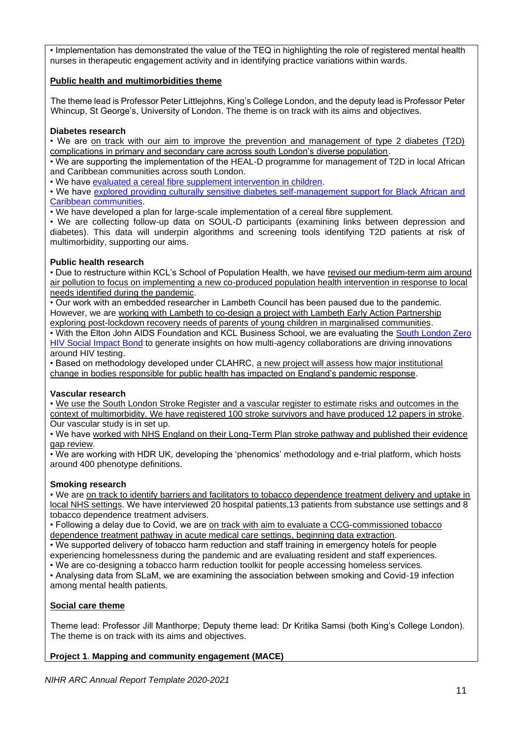• Implementation has demonstrated the value of the TEQ in highlighting the role of registered mental health nurses in therapeutic engagement activity and in identifying practice variations within wards.

## **Public health and multimorbidities theme**

The theme lead is Professor Peter Littlejohns, King's College London, and the deputy lead is Professor Peter Whincup, St George's, University of London. The theme is on track with its aims and objectives.

### **Diabetes research**

• We are on track with our aim to improve the prevention and management of type 2 diabetes (T2D) complications in primary and secondary care across south London's diverse population.

• We are supporting the implementation of the HEAL-D programme for management of T2D in local African and Caribbean communities across south London.

• We have [evaluated a cereal fibre supplement intervention in children.](https://academic.oup.com/jn/article/151/2/379/6029135)

• We have explored providing culturally sensitive diabetes self-management support for Black African and [Caribbean communities.](https://drc.bmj.com/content/8/2/e001818)

• We have developed a plan for large-scale implementation of a cereal fibre supplement.

• We are collecting follow-up data on SOUL-D participants (examining links between depression and diabetes). This data will underpin algorithms and screening tools identifying T2D patients at risk of multimorbidity, supporting our aims.

### **Public health research**

• Due to restructure within KCL's School of Population Health, we have revised our medium-term aim around air pollution to focus on implementing a new co-produced population health intervention in response to local needs identified during the pandemic.

• Our work with an embedded researcher in Lambeth Council has been paused due to the pandemic. However, we are working with Lambeth to co-design a project with Lambeth Early Action Partnership exploring post-lockdown recovery needs of parents of young children in marginalised communities.

• With the Elton John AIDS Foundation and KCL Business School, we are evaluating the [South London Zero](https://www.eltonjohnaidsfoundation.org/what-we-do/our-work/uk-social-impact-bond/) [HIV Social Impact Bond](https://www.eltonjohnaidsfoundation.org/what-we-do/our-work/uk-social-impact-bond/) to generate insights on how multi-agency collaborations are driving innovations around HIV testing.

• Based on methodology developed under CLAHRC, a new project will assess how major institutional change in bodies responsible for public health has impacted on England's pandemic response.

## **Vascular research**

• We use the South London Stroke Register and a vascular register to estimate risks and outcomes in the context of multimorbidity. We have registered 100 stroke survivors and have produced 12 papers in stroke. Our vascular study is in set up.

• We have worked with NHS England on their Long-Term Plan stroke pathway and published their evidence gap review.

• We are working with HDR UK, developing the 'phenomics' methodology and e-trial platform, which hosts around 400 phenotype definitions.

### **Smoking research**

• We are on track to identify barriers and facilitators to tobacco dependence treatment delivery and uptake in local NHS settings. We have interviewed 20 hospital patients,13 patients from substance use settings and 8 tobacco dependence treatment advisers.

• Following a delay due to Covid, we are on track with aim to evaluate a CCG-commissioned tobacco dependence treatment pathway in acute medical care settings, beginning data extraction.

• We supported delivery of tobacco harm reduction and staff training in emergency hotels for people

experiencing homelessness during the pandemic and are evaluating resident and staff experiences.

• We are co-designing a tobacco harm reduction toolkit for people accessing homeless services.

• Analysing data from SLaM, we are examining the association between smoking and Covid-19 infection among mental health patients.

## **Social care theme**

Theme lead: Professor Jill Manthorpe; Deputy theme lead: Dr Kritika Samsi (both King's College London). The theme is on track with its aims and objectives.

## **Project 1**. **Mapping and community engagement (MACE)**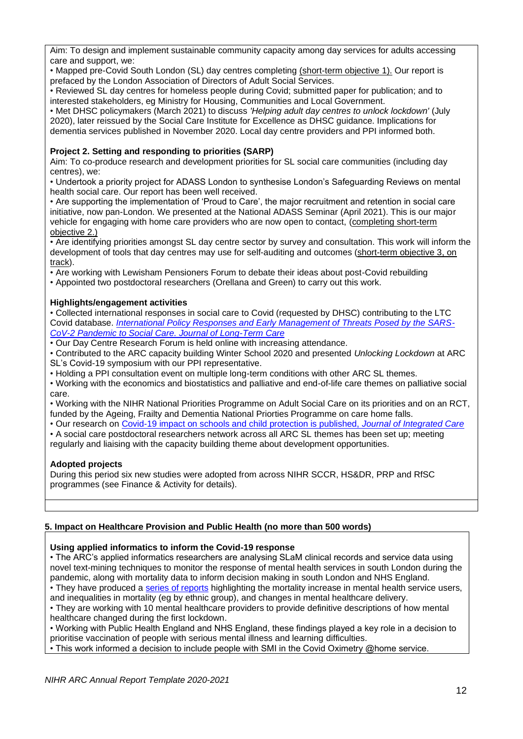Aim: To design and implement sustainable community capacity among day services for adults accessing care and support, we:

• Mapped pre-Covid South London (SL) day centres completing (short-term objective 1). Our report is prefaced by the London Association of Directors of Adult Social Services.

• Reviewed SL day centres for homeless people during Covid; submitted paper for publication; and to interested stakeholders, eg Ministry for Housing, Communities and Local Government.

• Met DHSC policymakers (March 2021) to discuss *'Helping adult day centres to unlock lockdown'* (July 2020), later reissued by the Social Care Institute for Excellence as DHSC guidance. Implications for dementia services published in November 2020. Local day centre providers and PPI informed both.

## **Project 2. Setting and responding to priorities (SARP)**

Aim: To co-produce research and development priorities for SL social care communities (including day centres), we:

• Undertook a priority project for ADASS London to synthesise London's Safeguarding Reviews on mental health social care. Our report has been well received.

• Are supporting the implementation of 'Proud to Care', the major recruitment and retention in social care initiative, now pan-London. We presented at the National ADASS Seminar (April 2021). This is our major vehicle for engaging with home care providers who are now open to contact, (completing short-term objective 2.)

• Are identifying priorities amongst SL day centre sector by survey and consultation. This work will inform the development of tools that day centres may use for self-auditing and outcomes (short-term objective 3, on track).

• Are working with Lewisham Pensioners Forum to debate their ideas about post-Covid rebuilding

• Appointed two postdoctoral researchers (Orellana and Green) to carry out this work.

### **Highlights/engagement activities**

• Collected international responses in social care to Covid (requested by DHSC) contributing to the LTC Covid database. *[International Policy Responses and Early Management of Threats Posed by the SARS-](https://journal.ilpnetwork.org/articles/10.31389/jltc.45/)[CoV-2 Pandemic to Social Care. Journal of Long-Term Care](https://journal.ilpnetwork.org/articles/10.31389/jltc.45/)*

• Our Day Centre Research Forum is held online with increasing attendance.

• Contributed to the ARC capacity building Winter School 2020 and presented *Unlocking Lockdown* at ARC SL's Covid-19 symposium with our PPI representative.

• Holding a PPI consultation event on multiple long-term conditions with other ARC SL themes.

• Working with the economics and biostatistics and palliative and end-of-life care themes on palliative social care.

• Working with the NIHR National Priorities Programme on Adult Social Care on its priorities and on an RCT, funded by the Ageing, Frailty and Dementia National Priorties Programme on care home falls.

• Our research on [Covid-19 impact on schools and child protection is published,](file:///C:/Users/Michele/Downloads/Multiagency%20working%20between%20children) *Journal of Integrated Care*

• A social care postdoctoral researchers network across all ARC SL themes has been set up; meeting regularly and liaising with the capacity building theme about development opportunities.

### **Adopted projects**

During this period six new studies were adopted from across NIHR SCCR, HS&DR, PRP and RfSC programmes (see Finance & Activity for details).

### **5. Impact on Healthcare Provision and Public Health (no more than 500 words)**

### **Using applied informatics to inform the Covid-19 response**

• The ARC's applied informatics researchers are analysing SLaM clinical records and service data using novel text-mining techniques to monitor the response of mental health services in south London during the pandemic, along with mortality data to inform decision making in south London and NHS England.

• They have produced a [series of reports](https://www.arc-sl.nihr.ac.uk/research-and-implementation/our-research-methods/investigating-impact-covid-19-mental-health) highlighting the mortality increase in mental health service users, and inequalities in mortality (eg by ethnic group), and changes in mental healthcare delivery.

• They are working with 10 mental healthcare providers to provide definitive descriptions of how mental healthcare changed during the first lockdown.

• Working with Public Health England and NHS England, these findings played a key role in a decision to prioritise vaccination of people with serious mental illness and learning difficulties.

• This work informed a decision to include people with SMI in the Covid Oximetry @home service.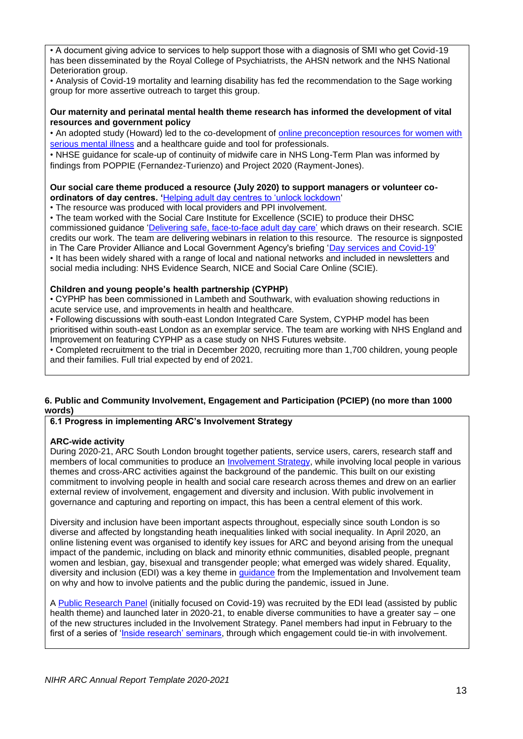• A document giving advice to services to help support those with a diagnosis of SMI who get Covid-19 has been disseminated by the Royal College of Psychiatrists, the AHSN network and the NHS National Deterioration group.

• Analysis of Covid-19 mortality and learning disability has fed the recommendation to the Sage working group for more assertive outreach to target this group.

#### **Our maternity and perinatal mental health theme research has informed the development of vital resources and government policy**

• An adopted study (Howard) led to the co-development of [online preconception resources for women with](https://arc-sl.nihr.ac.uk/news-insights/latest-news/new-resources-support-mothers-serious-mental-illness)  [serious mental illness](https://arc-sl.nihr.ac.uk/news-insights/latest-news/new-resources-support-mothers-serious-mental-illness) and a healthcare guide and tool for professionals.

• NHSE guidance for scale-up of continuity of midwife care in NHS Long-Term Plan was informed by findings from POPPIE (Fernandez-Turienzo) and Project 2020 (Rayment-Jones).

#### **Our social care theme produced a resource (July 2020) to support managers or volunteer coordinators of day centres. '**[Helping adult day centres to 'unlock lockdown'](https://www.kcl.ac.uk/scwru/res/ARC-SL/unlock-lockdown)

• The resource was produced with local providers and PPI involvement.

• The team worked with the Social Care Institute for Excellence (SCIE) to produce their DHSC commissioned guidance ['Delivering safe, face-to-face adult day care'](https://www.scie.org.uk/care-providers/coronavirus-covid-19/day-care/safe-delivery) which draws on their research. SCIE credits our work. The team are delivering webinars in relation to this resource. The resource is signposted in The Care Provider Alliance and Local Government Agency's briefing ['Day services and Covid-19'](https://careprovideralliance.org.uk/day-services-and-covid-19-cpa-lga-briefing) • It has been widely shared with a range of local and national networks and included in newsletters and social media including: NHS Evidence Search, NICE and Social Care Online (SCIE).

## **Children and young people's health partnership (CYPHP)**

• CYPHP has been commissioned in Lambeth and Southwark, with evaluation showing reductions in acute service use, and improvements in health and healthcare.

• Following discussions with south-east London Integrated Care System, CYPHP model has been prioritised within south-east London as an exemplar service. The team are working with NHS England and Improvement on featuring CYPHP as a case study on NHS Futures website.

• Completed recruitment to the trial in December 2020, recruiting more than 1,700 children, young people and their families. Full trial expected by end of 2021.

### **6. Public and Community Involvement, Engagement and Participation (PCIEP) (no more than 1000 words)**

### **6.1 Progress in implementing ARC's Involvement Strategy**

### **ARC-wide activity**

During 2020-21, ARC South London brought together patients, service users, carers, research staff and members of local communities to produce an *Involvement Strategy*, while involving local people in various themes and cross-ARC activities against the background of the pandemic. This built on our existing commitment to involving people in health and social care research across themes and drew on an earlier external review of involvement, engagement and diversity and inclusion. With public involvement in governance and capturing and reporting on impact, this has been a central element of this work.

Diversity and inclusion have been important aspects throughout, especially since south London is so diverse and affected by longstanding heath inequalities linked with social inequality. In April 2020, an online listening event was organised to identify key issues for ARC and beyond arising from the unequal impact of the pandemic, including on black and minority ethnic communities, disabled people, pregnant women and lesbian, gay, bisexual and transgender people; what emerged was widely shared. Equality, diversity and inclusion (EDI) was a key theme in [guidance](https://arc-sl.nihr.ac.uk/involving-patients-public/our-approach-ppi-arc-south-london) from the Implementation and Involvement team on why and how to involve patients and the public during the pandemic, issued in June.

A [Public Research Panel](file:///C:/Users/Michele/Documents/ARC%20Communications/Annual%20report%202020_21/Public%20Research%20Panel) (initially focused on Covid-19) was recruited by the EDI lead (assisted by public health theme) and launched later in 2020-21, to enable diverse communities to have a greater say – one of the new structures included in the Involvement Strategy. Panel members had input in February to the first of a series of ['Inside research' seminars,](https://arc-sl.nihr.ac.uk/events-training/forthcoming-events-training/inside-research-online-seminar-series) through which engagement could tie-in with involvement.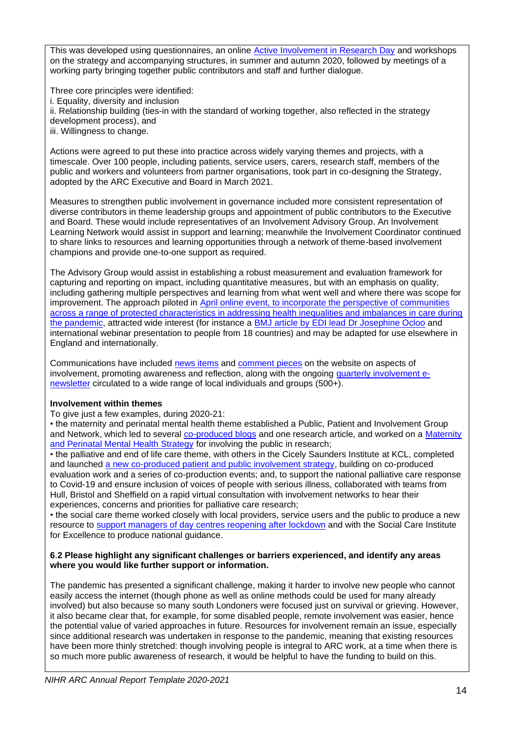This was developed using questionnaires, an online [Active Involvement in Research Day](https://arc-sl.nihr.ac.uk/news-insights/latest-news/event-brings-together-south-londoners-discuss-future-involvement) and workshops on the strategy and accompanying structures, in summer and autumn 2020, followed by meetings of a working party bringing together public contributors and staff and further dialogue.

Three core principles were identified:

- i. Equality, diversity and inclusion
- ii. Relationship building (ties-in with the standard of working together, also reflected in the strategy
- development process), and
- iii. Willingness to change.

Actions were agreed to put these into practice across widely varying themes and projects, with a timescale. Over 100 people, including patients, service users, carers, research staff, members of the public and workers and volunteers from partner organisations, took part in co-designing the Strategy, adopted by the ARC Executive and Board in March 2021.

Measures to strengthen public involvement in governance included more consistent representation of diverse contributors in theme leadership groups and appointment of public contributors to the Executive and Board. These would include representatives of an Involvement Advisory Group. An Involvement Learning Network would assist in support and learning; meanwhile the Involvement Coordinator continued to share links to resources and learning opportunities through a network of theme-based involvement champions and provide one-to-one support as required.

The Advisory Group would assist in establishing a robust measurement and evaluation framework for capturing and reporting on impact, including quantitative measures, but with an emphasis on quality, including gathering multiple perspectives and learning from what went well and where there was scope for improvement. The approach piloted in [April online event, to incorporate the perspective of communities](https://arc-sl.nihr.ac.uk/news-insights/blog-and-commentary/unequal-impact-key-issues-raised-community-event-discuss)  [across a range of protected characteristics in addressing health inequalities and imbalances in care during](https://arc-sl.nihr.ac.uk/news-insights/blog-and-commentary/unequal-impact-key-issues-raised-community-event-discuss)  [the pandemic,](https://arc-sl.nihr.ac.uk/news-insights/blog-and-commentary/unequal-impact-key-issues-raised-community-event-discuss) attracted wide interest (for instance a [BMJ article by EDI lead Dr Josephine Ocloo](file:///C:/Users/Michele/Documents/ARC%20Communications/Annual%20report%202020_21/BMJ%20article%20by%20EDI%20lead%20Josephine%20Ocloo) and international webinar presentation to people from 18 countries) and may be adapted for use elsewhere in England and internationally.

Communications have included [news items](https://arc-sl.nihr.ac.uk/news-insights/latest-news/arc-involvement-strategy-update) and [comment pieces](https://arc-sl.nihr.ac.uk/news-insights/blog-and-commentary/getting-through-pandemic-and-learning-together) on the website on aspects of involvement, promoting awareness and reflection, along with the ongoing [quarterly involvement e](https://arc-sl.nihr.ac.uk/involving-patients-public/stay-touch-sign-our-newsletter)[newsletter](https://arc-sl.nihr.ac.uk/involving-patients-public/stay-touch-sign-our-newsletter) circulated to a wide range of local individuals and groups (500+).

## **Involvement within themes**

To give just a few examples, during 2020-21:

• the maternity and perinatal mental health theme established a Public, Patient and Involvement Group and Network, which led to several [co-produced blogs](https://arc-sl.nihr.ac.uk/news-insights/engaging-local-women-maternity-research-during-covid-19-pandemic) and one research article, and worked on a Maternity [and Perinatal Mental Health Strategy](https://arc-sl.nihr.ac.uk/news-insights/blog-and-commentary/maternity-and-perinatal-mental-health-strategy-involving-public) for involving the public in research;

• the palliative and end of life care theme, with others in the Cicely Saunders Institute at KCL, completed and launched [a new co-produced patient and public involvement strategy,](https://arc-sl.nihr.ac.uk/news-insights/latest-news/innovating-public-involvement-palliative-care-co-producing-our-ppi) building on co-produced evaluation work and a series of co-production events; and, to support the national palliative care response to Covid-19 and ensure inclusion of voices of people with serious illness, collaborated with teams from Hull, Bristol and Sheffield on a rapid virtual consultation with involvement networks to hear their experiences, concerns and priorities for palliative care research;

• the social care theme worked closely with local providers, service users and the public to produce a new resource to [support managers of day centres reopening after lockdown](https://arc-sl.nihr.ac.uk/news-insights/latest-news/new-resources-support-day-centres-re-open-after-lockdown) and with the Social Care Institute for Excellence to produce national guidance.

### **6**.**2 Please highlight any significant challenges or barriers experienced, and identify any areas where you would like further support or information.**

The pandemic has presented a significant challenge, making it harder to involve new people who cannot easily access the internet (though phone as well as online methods could be used for many already involved) but also because so many south Londoners were focused just on survival or grieving. However, it also became clear that, for example, for some disabled people, remote involvement was easier, hence the potential value of varied approaches in future. Resources for involvement remain an issue, especially since additional research was undertaken in response to the pandemic, meaning that existing resources have been more thinly stretched: though involving people is integral to ARC work, at a time when there is so much more public awareness of research, it would be helpful to have the funding to build on this.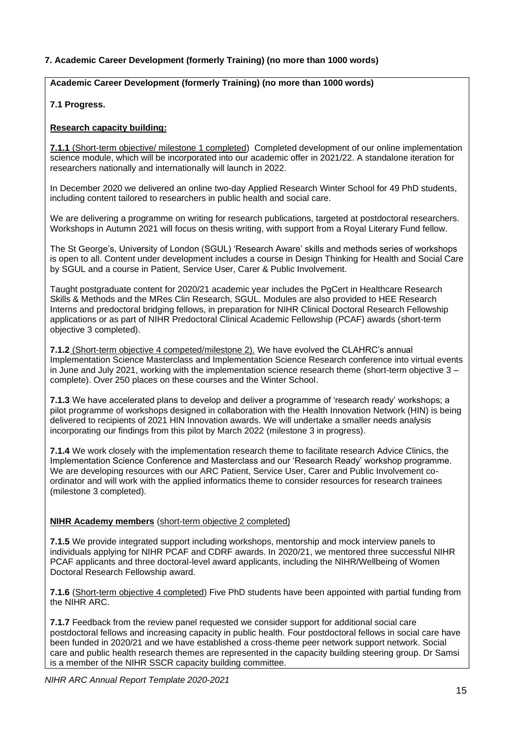# **7. Academic Career Development (formerly Training) (no more than 1000 words)**

## **Academic Career Development (formerly Training) (no more than 1000 words)**

## **7.1 Progress.**

## **Research capacity building:**

**7.1.1** (Short-term objective/ milestone 1 completed) Completed development of our online implementation science module, which will be incorporated into our academic offer in 2021/22. A standalone iteration for researchers nationally and internationally will launch in 2022.

In December 2020 we delivered an online two-day Applied Research Winter School for 49 PhD students, including content tailored to researchers in public health and social care.

We are delivering a programme on writing for research publications, targeted at postdoctoral researchers. Workshops in Autumn 2021 will focus on thesis writing, with support from a Royal Literary Fund fellow.

The St George's, University of London (SGUL) 'Research Aware' skills and methods series of workshops is open to all. Content under development includes a course in Design Thinking for Health and Social Care by SGUL and a course in Patient, Service User, Carer & Public Involvement.

Taught postgraduate content for 2020/21 academic year includes the PgCert in Healthcare Research Skills & Methods and the MRes Clin Research, SGUL. Modules are also provided to HEE Research Interns and predoctoral bridging fellows, in preparation for NIHR Clinical Doctoral Research Fellowship applications or as part of NIHR Predoctoral Clinical Academic Fellowship (PCAF) awards (short-term objective 3 completed).

**7.1.2** (Short-term objective 4 competed/milestone 2). We have evolved the CLAHRC's annual Implementation Science Masterclass and Implementation Science Research conference into virtual events in June and July 2021, working with the implementation science research theme (short-term objective 3 – complete). Over 250 places on these courses and the Winter School.

**7.1.3** We have accelerated plans to develop and deliver a programme of 'research ready' workshops; a pilot programme of workshops designed in collaboration with the Health Innovation Network (HIN) is being delivered to recipients of 2021 HIN Innovation awards. We will undertake a smaller needs analysis incorporating our findings from this pilot by March 2022 (milestone 3 in progress).

**7.1.4** We work closely with the implementation research theme to facilitate research Advice Clinics, the Implementation Science Conference and Masterclass and our 'Research Ready' workshop programme. We are developing resources with our ARC Patient, Service User, Carer and Public Involvement coordinator and will work with the applied informatics theme to consider resources for research trainees (milestone 3 completed).

## **NIHR Academy members** (short-term objective 2 completed)

**7.1.5** We provide integrated support including workshops, mentorship and mock interview panels to individuals applying for NIHR PCAF and CDRF awards. In 2020/21, we mentored three successful NIHR PCAF applicants and three doctoral-level award applicants, including the NIHR/Wellbeing of Women Doctoral Research Fellowship award.

**7.1.6** (Short-term objective 4 completed) Five PhD students have been appointed with partial funding from the NIHR ARC.

**7.1.7** Feedback from the review panel requested we consider support for additional social care postdoctoral fellows and increasing capacity in public health. Four postdoctoral fellows in social care have been funded in 2020/21 and we have established a cross-theme peer network support network. Social care and public health research themes are represented in the capacity building steering group. Dr Samsi is a member of the NIHR SSCR capacity building committee.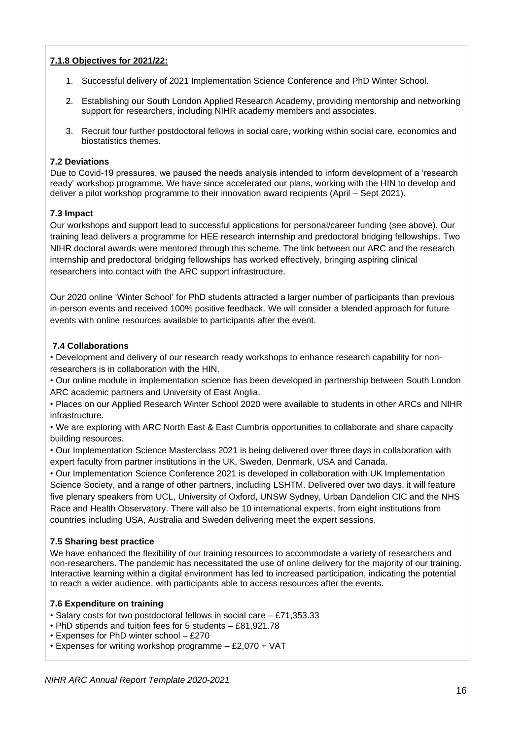## **7.1.8 Objectives for 2021/22:**

- 1. Successful delivery of 2021 Implementation Science Conference and PhD Winter School.
- 2. Establishing our South London Applied Research Academy, providing mentorship and networking support for researchers, including NIHR academy members and associates.
- 3. Recruit four further postdoctoral fellows in social care, working within social care, economics and biostatistics themes.

## **7.2 Deviations**

Due to Covid-19 pressures, we paused the needs analysis intended to inform development of a 'research ready' workshop programme. We have since accelerated our plans, working with the HIN to develop and deliver a pilot workshop programme to their innovation award recipients (April – Sept 2021).

# **7.3 Impact**

Our workshops and support lead to successful applications for personal/career funding (see above). Our training lead delivers a programme for HEE research internship and predoctoral bridging fellowships. Two NIHR doctoral awards were mentored through this scheme. The link between our ARC and the research internship and predoctoral bridging fellowships has worked effectively, bringing aspiring clinical researchers into contact with the ARC support infrastructure.

Our 2020 online 'Winter School' for PhD students attracted a larger number of participants than previous in-person events and received 100% positive feedback. We will consider a blended approach for future events with online resources available to participants after the event.

# **7.4 Collaborations**

• Development and delivery of our research ready workshops to enhance research capability for nonresearchers is in collaboration with the HIN.

• Our online module in implementation science has been developed in partnership between South London ARC academic partners and University of East Anglia.

• Places on our Applied Research Winter School 2020 were available to students in other ARCs and NIHR infrastructure.

• We are exploring with ARC North East & East Cumbria opportunities to collaborate and share capacity building resources.

• Our Implementation Science Masterclass 2021 is being delivered over three days in collaboration with expert faculty from partner institutions in the UK, Sweden, Denmark, USA and Canada.

• Our Implementation Science Conference 2021 is developed in collaboration with UK Implementation Science Society, and a range of other partners, including LSHTM. Delivered over two days, it will feature five plenary speakers from UCL, University of Oxford, UNSW Sydney, Urban Dandelion CIC and the NHS Race and Health Observatory. There will also be 10 international experts, from eight institutions from countries including USA, Australia and Sweden delivering meet the expert sessions.

## **7.5 Sharing best practice**

We have enhanced the flexibility of our training resources to accommodate a variety of researchers and non-researchers. The pandemic has necessitated the use of online delivery for the majority of our training. Interactive learning within a digital environment has led to increased participation, indicating the potential to reach a wider audience, with participants able to access resources after the events.

## **7.6 Expenditure on training**

- Salary costs for two postdoctoral fellows in social care £71,353.33
- PhD stipends and tuition fees for 5 students £81,921.78
- Expenses for PhD winter school £270
- Expenses for writing workshop programme £2,070 + VAT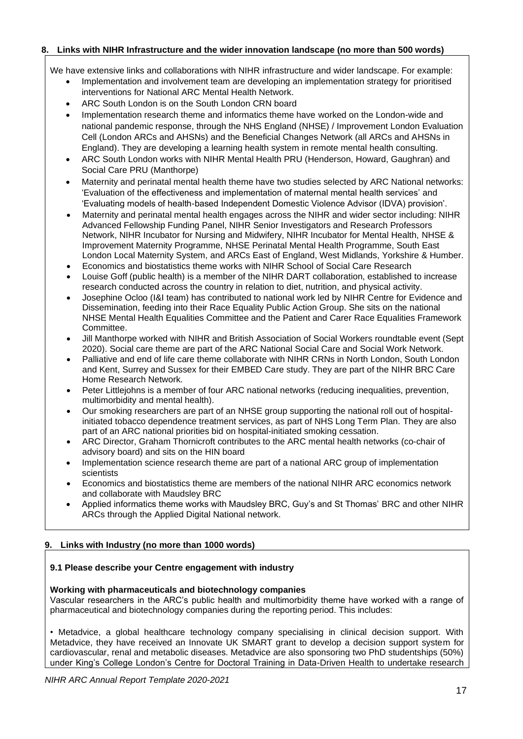## **8. Links with NIHR Infrastructure and the wider innovation landscape (no more than 500 words)**

We have extensive links and collaborations with NIHR infrastructure and wider landscape. For example:

- Implementation and involvement team are developing an implementation strategy for prioritised interventions for National ARC Mental Health Network.
- ARC South London is on the South London CRN board
- Implementation research theme and informatics theme have worked on the London-wide and national pandemic response, through the NHS England (NHSE) / Improvement London Evaluation Cell (London ARCs and AHSNs) and the Beneficial Changes Network (all ARCs and AHSNs in England). They are developing a learning health system in remote mental health consulting.
- ARC South London works with NIHR Mental Health PRU (Henderson, Howard, Gaughran) and Social Care PRU (Manthorpe)
- Maternity and perinatal mental health theme have two studies selected by ARC National networks: 'Evaluation of the effectiveness and implementation of maternal mental health services' and 'Evaluating models of health-based Independent Domestic Violence Advisor (IDVA) provision'.
- Maternity and perinatal mental health engages across the NIHR and wider sector including: NIHR Advanced Fellowship Funding Panel, NIHR Senior Investigators and Research Professors Network, NIHR Incubator for Nursing and Midwifery, NIHR Incubator for Mental Health, NHSE & Improvement Maternity Programme, NHSE Perinatal Mental Health Programme, South East London Local Maternity System, and ARCs East of England, West Midlands, Yorkshire & Humber.
- Economics and biostatistics theme works with NIHR School of Social Care Research
- Louise Goff (public health) is a member of the NIHR DART collaboration, established to increase research conducted across the country in relation to diet, nutrition, and physical activity.
- Josephine Ocloo (I&I team) has contributed to national work led by NIHR Centre for Evidence and Dissemination, feeding into their Race Equality Public Action Group. She sits on the national NHSE Mental Health Equalities Committee and the Patient and Carer Race Equalities Framework Committee.
- Jill Manthorpe worked with NIHR and British Association of Social Workers roundtable event (Sept 2020). Social care theme are part of the ARC National Social Care and Social Work Network.
- Palliative and end of life care theme collaborate with NIHR CRNs in North London, South London and Kent, Surrey and Sussex for their EMBED Care study. They are part of the NIHR BRC Care Home Research Network.
- Peter Littlejohns is a member of four ARC national networks (reducing inequalities, prevention, multimorbidity and mental health).
- Our smoking researchers are part of an NHSE group supporting the national roll out of hospitalinitiated tobacco dependence treatment services, as part of NHS Long Term Plan. They are also part of an ARC national priorities bid on hospital-initiated smoking cessation.
- ARC Director, Graham Thornicroft contributes to the ARC mental health networks (co-chair of advisory board) and sits on the HIN board
- Implementation science research theme are part of a national ARC group of implementation scientists
- Economics and biostatistics theme are members of the national NIHR ARC economics network and collaborate with Maudsley BRC
- Applied informatics theme works with Maudsley BRC, Guy's and St Thomas' BRC and other NIHR ARCs through the Applied Digital National network.

## **9. Links with Industry (no more than 1000 words)**

## **9.1 Please describe your Centre engagement with industry**

## **Working with pharmaceuticals and biotechnology companies**

Vascular researchers in the ARC's public health and multimorbidity theme have worked with a range of pharmaceutical and biotechnology companies during the reporting period. This includes:

• Metadvice, a global healthcare technology company specialising in clinical decision support. With Metadvice, they have received an Innovate UK SMART grant to develop a decision support system for cardiovascular, renal and metabolic diseases. Metadvice are also sponsoring two PhD studentships (50%) under King's College London's Centre for Doctoral Training in Data-Driven Health to undertake research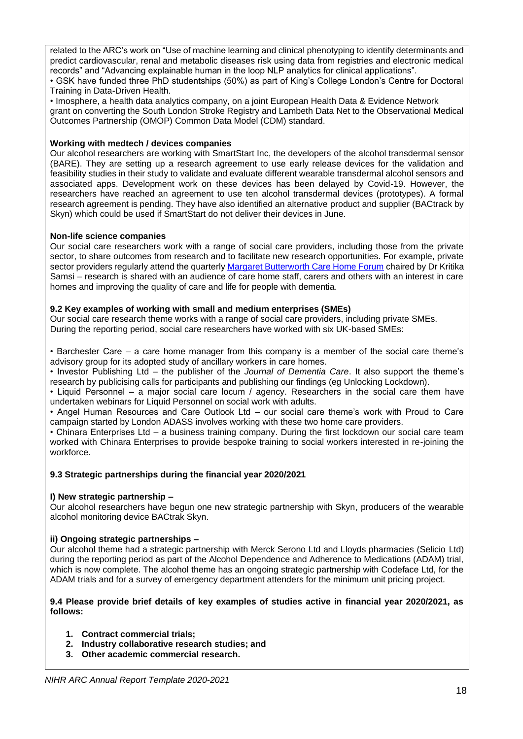related to the ARC's work on "Use of machine learning and clinical phenotyping to identify determinants and predict cardiovascular, renal and metabolic diseases risk using data from registries and electronic medical records" and "Advancing explainable human in the loop NLP analytics for clinical applications".

• GSK have funded three PhD studentships (50%) as part of King's College London's Centre for Doctoral Training in Data-Driven Health.

• Imosphere, a health data analytics company, on a joint European Health Data & Evidence Network grant on converting the South London Stroke Registry and Lambeth Data Net to the Observational Medical Outcomes Partnership (OMOP) Common Data Model (CDM) standard.

### **Working with medtech / devices companies**

Our alcohol researchers are working with SmartStart Inc, the developers of the alcohol transdermal sensor (BARE). They are setting up a research agreement to use early release devices for the validation and feasibility studies in their study to validate and evaluate different wearable transdermal alcohol sensors and associated apps. Development work on these devices has been delayed by Covid-19. However, the researchers have reached an agreement to use ten alcohol transdermal devices (prototypes). A formal research agreement is pending. They have also identified an alternative product and supplier (BACtrack by Skyn) which could be used if SmartStart do not deliver their devices in June.

## **Non-life science companies**

Our social care researchers work with a range of social care providers, including those from the private sector, to share outcomes from research and to facilitate new research opportunities. For example, private sector providers regularly attend the quarterly [Margaret Butterworth Care Home Forum](https://www.kcl.ac.uk/scwru/events/mbchf/index) chaired by Dr Kritika Samsi – research is shared with an audience of care home staff, carers and others with an interest in care homes and improving the quality of care and life for people with dementia.

## **9.2 Key examples of working with small and medium enterprises (SMEs)**

Our social care research theme works with a range of social care providers, including private SMEs. During the reporting period, social care researchers have worked with six UK-based SMEs:

• Barchester Care – a care home manager from this company is a member of the social care theme's advisory group for its adopted study of ancillary workers in care homes.

• Investor Publishing Ltd – the publisher of the *Journal of Dementia Care*. It also support the theme's research by publicising calls for participants and publishing our findings (eg Unlocking Lockdown).

• Liquid Personnel – a major social care locum / agency. Researchers in the social care them have undertaken webinars for Liquid Personnel on social work with adults.

• Angel Human Resources and Care Outlook Ltd – our social care theme's work with Proud to Care campaign started by London ADASS involves working with these two home care providers.

• Chinara Enterprises Ltd – a business training company. During the first lockdown our social care team worked with Chinara Enterprises to provide bespoke training to social workers interested in re-joining the workforce.

## **9.3 Strategic partnerships during the financial year 2020/2021**

### **I) New strategic partnership –**

Our alcohol researchers have begun one new strategic partnership with Skyn, producers of the wearable alcohol monitoring device BACtrak Skyn.

### **ii) Ongoing strategic partnerships –**

Our alcohol theme had a strategic partnership with Merck Serono Ltd and Lloyds pharmacies (Selicio Ltd) during the reporting period as part of the Alcohol Dependence and Adherence to Medications (ADAM) trial, which is now complete. The alcohol theme has an ongoing strategic partnership with Codeface Ltd, for the ADAM trials and for a survey of emergency department attenders for the minimum unit pricing project.

#### **9.4 Please provide brief details of key examples of studies active in financial year 2020/2021, as follows:**

- **1. Contract commercial trials;**
- **2. Industry collaborative research studies; and**
- **3. Other academic commercial research.**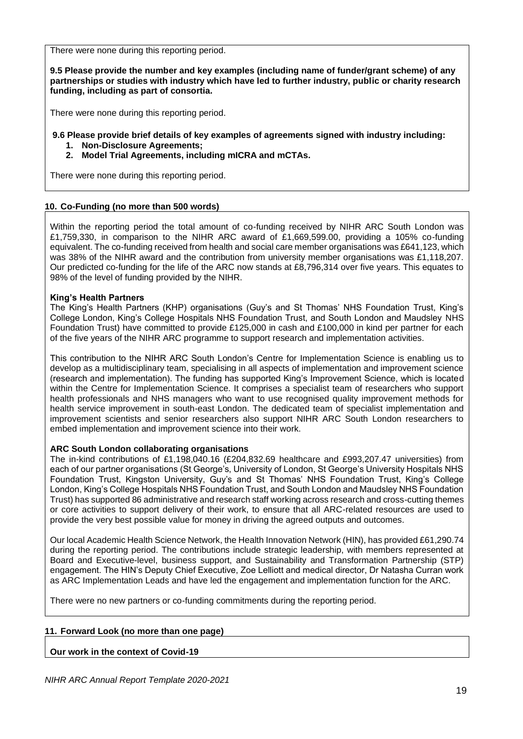There were none during this reporting period.

**9.5 Please provide the number and key examples (including name of funder/grant scheme) of any partnerships or studies with industry which have led to further industry, public or charity research funding, including as part of consortia.**

There were none during this reporting period.

**9.6 Please provide brief details of key examples of agreements signed with industry including:**

- **1. Non-Disclosure Agreements;**
- **2. Model Trial Agreements, including mICRA and mCTAs.**

There were none during this reporting period.

## **10. Co-Funding (no more than 500 words)**

Within the reporting period the total amount of co-funding received by NIHR ARC South London was £1,759,330, in comparison to the NIHR ARC award of £1,669,599.00, providing a 105% co-funding equivalent. The co-funding received from health and social care member organisations was £641,123, which was 38% of the NIHR award and the contribution from university member organisations was £1,118,207. Our predicted co-funding for the life of the ARC now stands at £8,796,314 over five years. This equates to 98% of the level of funding provided by the NIHR.

## **King's Health Partners**

The King's Health Partners (KHP) organisations (Guy's and St Thomas' NHS Foundation Trust, King's College London, King's College Hospitals NHS Foundation Trust, and South London and Maudsley NHS Foundation Trust) have committed to provide £125,000 in cash and £100,000 in kind per partner for each of the five years of the NIHR ARC programme to support research and implementation activities.

This contribution to the NIHR ARC South London's Centre for Implementation Science is enabling us to develop as a multidisciplinary team, specialising in all aspects of implementation and improvement science (research and implementation). The funding has supported King's Improvement Science, which is located within the Centre for Implementation Science. It comprises a specialist team of researchers who support health professionals and NHS managers who want to use recognised quality improvement methods for health service improvement in south-east London. The dedicated team of specialist implementation and improvement scientists and senior researchers also support NIHR ARC South London researchers to embed implementation and improvement science into their work.

## **ARC South London collaborating organisations**

The in-kind contributions of £1,198,040.16 (£204,832.69 healthcare and £993,207.47 universities) from each of our partner organisations (St George's, University of London, St George's University Hospitals NHS Foundation Trust, Kingston University, Guy's and St Thomas' NHS Foundation Trust, King's College London, King's College Hospitals NHS Foundation Trust, and South London and Maudsley NHS Foundation Trust) has supported 86 administrative and research staff working across research and cross-cutting themes or core activities to support delivery of their work, to ensure that all ARC-related resources are used to provide the very best possible value for money in driving the agreed outputs and outcomes.

Our local Academic Health Science Network, the Health Innovation Network (HIN), has provided £61,290.74 during the reporting period. The contributions include strategic leadership, with members represented at Board and Executive-level, business support, and Sustainability and Transformation Partnership (STP) engagement. The HIN's Deputy Chief Executive, Zoe Lelliott and medical director, Dr Natasha Curran work as ARC Implementation Leads and have led the engagement and implementation function for the ARC.

There were no new partners or co-funding commitments during the reporting period.

## **11. Forward Look (no more than one page)**

**Our work in the context of Covid-19**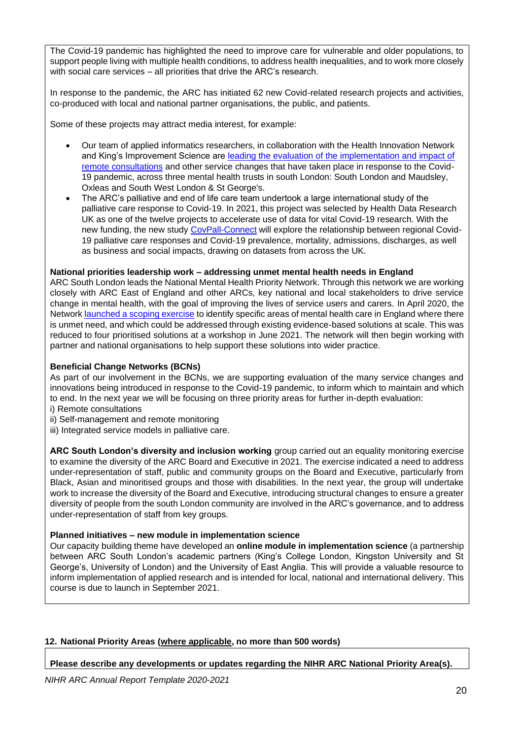The Covid-19 pandemic has highlighted the need to improve care for vulnerable and older populations, to support people living with multiple health conditions, to address health inequalities, and to work more closely with social care services – all priorities that drive the ARC's research.

In response to the pandemic, the ARC has initiated 62 new Covid-related research projects and activities, co-produced with local and national partner organisations, the public, and patients.

Some of these projects may attract media interest, for example:

- Our team of applied informatics researchers, in collaboration with the Health Innovation Network and King's Improvement Science are leading the evaluation of the implementation and impact of [remote consultations](https://arc-sl.nihr.ac.uk/research-and-implementation/our-research-areas/implementation-science-research/remote-consultations) and other service changes that have taken place in response to the Covid-19 pandemic, across three mental health trusts in south London: South London and Maudsley, Oxleas and South West London & St George's.
- The ARC's palliative and end of life care team undertook a large international study of the palliative care response to Covid-19. In 2021, this project was selected by Health Data Research UK as one of the twelve projects to accelerate use of data for vital Covid-19 research. With the new funding, the new study [CovPall-Connect](https://www.arc-sl.nihr.ac.uk/research-and-implementation/our-research-areas/palliative-and-end-life-care/rapid-evaluation-covid) will explore the relationship between regional Covid-19 palliative care responses and Covid-19 prevalence, mortality, admissions, discharges, as well as business and social impacts, drawing on datasets from across the UK.

## **National priorities leadership work – addressing unmet mental health needs in England**

ARC South London leads the National Mental Health Priority Network. Through this network we are working closely with ARC East of England and other ARCs, key national and local stakeholders to drive service change in mental health, with the goal of improving the lives of service users and carers. In April 2020, the Network [launched a scoping exercise](https://arc-sl.nihr.ac.uk/news-insights/latest-news/scoping-exercise-launched-identify-unmet-needs-mental-health-care) to identify specific areas of mental health care in England where there is unmet need, and which could be addressed through existing evidence-based solutions at scale. This was reduced to four prioritised solutions at a workshop in June 2021. The network will then begin working with partner and national organisations to help support these solutions into wider practice.

## **Beneficial Change Networks (BCNs)**

As part of our involvement in the BCNs, we are supporting evaluation of the many service changes and innovations being introduced in response to the Covid-19 pandemic, to inform which to maintain and which to end. In the next year we will be focusing on three priority areas for further in-depth evaluation:

- i) Remote consultations
- ii) Self-management and remote monitoring
- iii) Integrated service models in palliative care.

**ARC South London's diversity and inclusion working** group carried out an equality monitoring exercise to examine the diversity of the ARC Board and Executive in 2021. The exercise indicated a need to address under-representation of staff, public and community groups on the Board and Executive, particularly from Black, Asian and minoritised groups and those with disabilities. In the next year, the group will undertake work to increase the diversity of the Board and Executive, introducing structural changes to ensure a greater diversity of people from the south London community are involved in the ARC's governance, and to address under-representation of staff from key groups.

### **Planned initiatives – new module in implementation science**

Our capacity building theme have developed an **online module in implementation science** (a partnership between ARC South London's academic partners (King's College London, Kingston University and St George's, University of London) and the University of East Anglia. This will provide a valuable resource to inform implementation of applied research and is intended for local, national and international delivery. This course is due to launch in September 2021.

## **12. National Priority Areas (where applicable, no more than 500 words)**

**Please describe any developments or updates regarding the NIHR ARC National Priority Area(s).**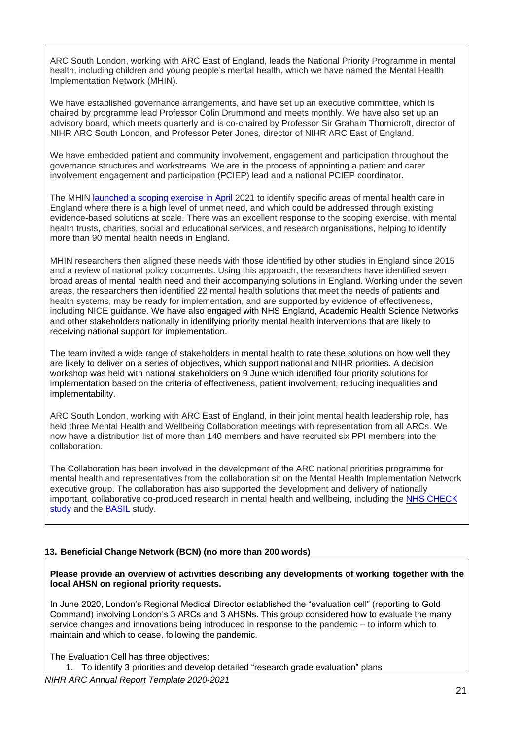ARC South London, working with ARC East of England, leads the National Priority Programme in mental health, including children and young people's mental health, which we have named the Mental Health Implementation Network (MHIN).

We have established governance arrangements, and have set up an executive committee, which is chaired by programme lead Professor Colin Drummond and meets monthly. We have also set up an advisory board, which meets quarterly and is co-chaired by Professor Sir Graham Thornicroft, director of NIHR ARC South London, and Professor Peter Jones, director of NIHR ARC East of England.

We have embedded patient and community involvement, engagement and participation throughout the governance structures and workstreams. We are in the process of appointing a patient and carer involvement engagement and participation (PCIEP) lead and a national PCIEP coordinator.

The MHIN [launched a scoping exercise in April](https://eur03.safelinks.protection.outlook.com/?url=https%3A%2F%2Farc-sl.nihr.ac.uk%2Fnews-insights%2Flatest-news%2Fscoping-exercise-launched-identify-unmet-needs-mental-health-care&data=04%7C01%7Cmichele.harris-tafri%40kcl.ac.uk%7Cec2a15653cf24078ad7108d92c0fa9e9%7C8370cf1416f34c16b83c724071654356%7C0%7C0%7C637589268042844226%7CUnknown%7CTWFpbGZsb3d8eyJWIjoiMC4wLjAwMDAiLCJQIjoiV2luMzIiLCJBTiI6Ik1haWwiLCJXVCI6Mn0%3D%7C1000&sdata=pEg0M7QffKL%2FnjjTZmwd%2B8fqBhCHujVuN8VSRM4JtW4%3D&reserved=0) 2021 to identify specific areas of mental health care in England where there is a high level of unmet need, and which could be addressed through existing evidence-based solutions at scale. There was an excellent response to the scoping exercise, with mental health trusts, charities, social and educational services, and research organisations, helping to identify more than 90 mental health needs in England.

MHIN researchers then aligned these needs with those identified by other studies in England since 2015 and a review of national policy documents. Using this approach, the researchers have identified seven broad areas of mental health need and their accompanying solutions in England. Working under the seven areas, the researchers then identified 22 mental health solutions that meet the needs of patients and health systems, may be ready for implementation, and are supported by evidence of effectiveness, including NICE guidance. We have also engaged with NHS England, Academic Health Science Networks and other stakeholders nationally in identifying priority mental health interventions that are likely to receiving national support for implementation.

The team invited a wide range of stakeholders in mental health to rate these solutions on how well they are likely to deliver on a series of objectives, which support national and NIHR priorities. A decision workshop was held with national stakeholders on 9 June which identified four priority solutions for implementation based on the criteria of effectiveness, patient involvement, reducing inequalities and implementability.

ARC South London, working with ARC East of England, in their joint mental health leadership role, has held three Mental Health and Wellbeing Collaboration meetings with representation from all ARCs. We now have a distribution list of more than 140 members and have recruited six PPI members into the collaboration.

The Collaboration has been involved in the development of the ARC national priorities programme for mental health and representatives from the collaboration sit on the Mental Health Implementation Network executive group. The collaboration has also supported the development and delivery of nationally important, collaborative co-produced research in mental health and wellbeing, including the [NHS CHECK](https://nhscheck.org/))  [study](https://nhscheck.org/)) and the **BASIL** study.

### **13. Beneficial Change Network (BCN) (no more than 200 words)**

**Please provide an overview of activities describing any developments of working together with the local AHSN on regional priority requests.**

In June 2020, London's Regional Medical Director established the "evaluation cell" (reporting to Gold Command) involving London's 3 ARCs and 3 AHSNs. This group considered how to evaluate the many service changes and innovations being introduced in response to the pandemic – to inform which to maintain and which to cease, following the pandemic.

The Evaluation Cell has three objectives:

1. To identify 3 priorities and develop detailed "research grade evaluation" plans